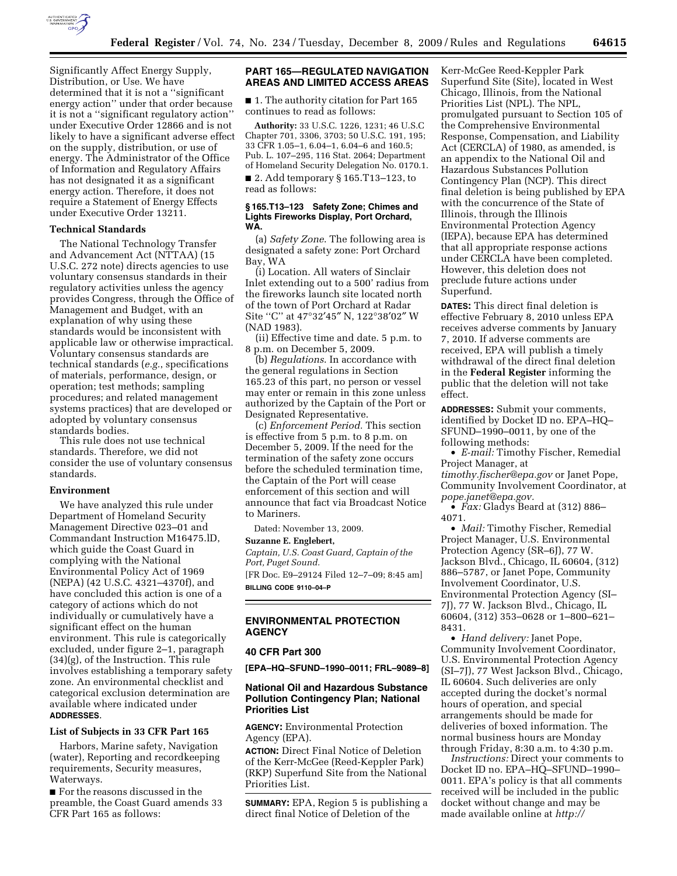

Significantly Affect Energy Supply, Distribution, or Use. We have determined that it is not a ''significant energy action'' under that order because it is not a ''significant regulatory action'' under Executive Order 12866 and is not likely to have a significant adverse effect on the supply, distribution, or use of energy. The Administrator of the Office of Information and Regulatory Affairs has not designated it as a significant energy action. Therefore, it does not require a Statement of Energy Effects under Executive Order 13211.

### **Technical Standards**

The National Technology Transfer and Advancement Act (NTTAA) (15 U.S.C. 272 note) directs agencies to use voluntary consensus standards in their regulatory activities unless the agency provides Congress, through the Office of Management and Budget, with an explanation of why using these standards would be inconsistent with applicable law or otherwise impractical. Voluntary consensus standards are technical standards (*e.g.*, specifications of materials, performance, design, or operation; test methods; sampling procedures; and related management systems practices) that are developed or adopted by voluntary consensus standards bodies.

This rule does not use technical standards. Therefore, we did not consider the use of voluntary consensus standards.

### **Environment**

We have analyzed this rule under Department of Homeland Security Management Directive 023–01 and Commandant Instruction M16475.lD, which guide the Coast Guard in complying with the National Environmental Policy Act of 1969 (NEPA) (42 U.S.C. 4321–4370f), and have concluded this action is one of a category of actions which do not individually or cumulatively have a significant effect on the human environment. This rule is categorically excluded, under figure 2–1, paragraph (34)(g), of the Instruction. This rule involves establishing a temporary safety zone. An environmental checklist and categorical exclusion determination are available where indicated under **ADDRESSES**.

#### **List of Subjects in 33 CFR Part 165**

Harbors, Marine safety, Navigation (water), Reporting and recordkeeping requirements, Security measures, Waterways.

■ For the reasons discussed in the preamble, the Coast Guard amends 33 CFR Part 165 as follows:

## **PART 165—REGULATED NAVIGATION AREAS AND LIMITED ACCESS AREAS**

■ 1. The authority citation for Part 165 continues to read as follows:

**Authority:** 33 U.S.C. 1226, 1231; 46 U.S.C Chapter 701, 3306, 3703; 50 U.S.C. 191, 195; 33 CFR 1.05–1, 6.04–1, 6.04–6 and 160.5; Pub. L. 107–295, 116 Stat. 2064; Department of Homeland Security Delegation No. 0170.1.

■ 2. Add temporary § 165.T13–123, to read as follows:

#### **§ 165.T13–123 Safety Zone; Chimes and Lights Fireworks Display, Port Orchard, WA.**

(a) *Safety Zone*. The following area is designated a safety zone: Port Orchard Bay, WA

(i) Location. All waters of Sinclair Inlet extending out to a 500' radius from the fireworks launch site located north of the town of Port Orchard at Radar Site "C" at 47°32'45" N, 122°38'02" W (NAD 1983).

(ii) Effective time and date. 5 p.m. to 8 p.m. on December 5, 2009.

(b) *Regulations*. In accordance with the general regulations in Section 165.23 of this part, no person or vessel may enter or remain in this zone unless authorized by the Captain of the Port or Designated Representative.

(c) *Enforcement Period.* This section is effective from 5 p.m. to 8 p.m. on December 5, 2009. If the need for the termination of the safety zone occurs before the scheduled termination time, the Captain of the Port will cease enforcement of this section and will announce that fact via Broadcast Notice to Mariners.

Dated: November 13, 2009.

**Suzanne E. Englebert,** 

*Captain, U.S. Coast Guard, Captain of the Port, Puget Sound.* 

[FR Doc. E9–29124 Filed 12–7–09; 8:45 am] **BILLING CODE 9110–04–P** 

### **ENVIRONMENTAL PROTECTION AGENCY**

# **40 CFR Part 300**

**[EPA–HQ–SFUND–1990–0011; FRL–9089–8]** 

# **National Oil and Hazardous Substance Pollution Contingency Plan; National Priorities List**

**AGENCY:** Environmental Protection Agency (EPA).

**ACTION:** Direct Final Notice of Deletion of the Kerr-McGee (Reed-Keppler Park) (RKP) Superfund Site from the National Priorities List.

**SUMMARY:** EPA, Region 5 is publishing a direct final Notice of Deletion of the

Kerr-McGee Reed-Keppler Park Superfund Site (Site), located in West Chicago, Illinois, from the National Priorities List (NPL). The NPL, promulgated pursuant to Section 105 of the Comprehensive Environmental Response, Compensation, and Liability Act (CERCLA) of 1980, as amended, is an appendix to the National Oil and Hazardous Substances Pollution Contingency Plan (NCP). This direct final deletion is being published by EPA with the concurrence of the State of Illinois, through the Illinois Environmental Protection Agency (IEPA), because EPA has determined that all appropriate response actions under CERCLA have been completed. However, this deletion does not preclude future actions under Superfund.

**DATES:** This direct final deletion is effective February 8, 2010 unless EPA receives adverse comments by January 7, 2010. If adverse comments are received, EPA will publish a timely withdrawal of the direct final deletion in the **Federal Register** informing the public that the deletion will not take effect.

**ADDRESSES:** Submit your comments, identified by Docket ID no. EPA–HQ– SFUND–1990–0011, by one of the following methods:

• *E-mail:* Timothy Fischer, Remedial Project Manager, at *timothy.fischer@epa.gov* or Janet Pope, Community Involvement Coordinator, at *pope.janet@epa.gov.* 

• *Fax:* Gladys Beard at (312) 886– 4071.

• *Mail:* Timothy Fischer, Remedial Project Manager, U.S. Environmental Protection Agency (SR–6J), 77 W. Jackson Blvd., Chicago, IL 60604, (312) 886–5787, or Janet Pope, Community Involvement Coordinator, U.S. Environmental Protection Agency (SI– 7J), 77 W. Jackson Blvd., Chicago, IL 60604, (312) 353–0628 or 1–800–621– 8431.

• *Hand delivery:* Janet Pope, Community Involvement Coordinator, U.S. Environmental Protection Agency (SI–7J), 77 West Jackson Blvd., Chicago, IL 60604. Such deliveries are only accepted during the docket's normal hours of operation, and special arrangements should be made for deliveries of boxed information. The normal business hours are Monday through Friday, 8:30 a.m. to 4:30 p.m.

*Instructions:* Direct your comments to Docket ID no. EPA–HQ–SFUND–1990– 0011. EPA's policy is that all comments received will be included in the public docket without change and may be made available online at *http://*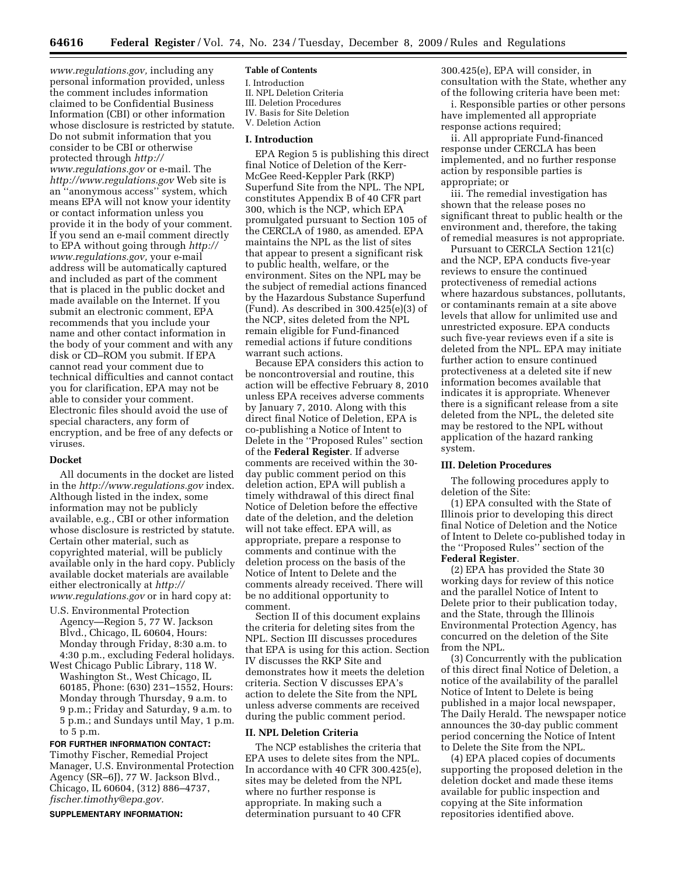*www.regulations.gov,* including any personal information provided, unless the comment includes information claimed to be Confidential Business Information (CBI) or other information whose disclosure is restricted by statute. Do not submit information that you consider to be CBI or otherwise protected through *http:// www.regulations.gov* or e-mail. The *http://www.regulations.gov* Web site is an ''anonymous access'' system, which means EPA will not know your identity or contact information unless you provide it in the body of your comment. If you send an e-mail comment directly to EPA without going through *http:// www.regulations.gov,* your e-mail address will be automatically captured and included as part of the comment that is placed in the public docket and made available on the Internet. If you submit an electronic comment, EPA recommends that you include your name and other contact information in the body of your comment and with any disk or CD–ROM you submit. If EPA cannot read your comment due to technical difficulties and cannot contact you for clarification, EPA may not be able to consider your comment. Electronic files should avoid the use of special characters, any form of encryption, and be free of any defects or viruses.

### **Docket**

All documents in the docket are listed in the *http://www.regulations.gov* index. Although listed in the index, some information may not be publicly available, e.g., CBI or other information whose disclosure is restricted by statute. Certain other material, such as copyrighted material, will be publicly available only in the hard copy. Publicly available docket materials are available either electronically at *http:// www.regulations.gov* or in hard copy at:

- U.S. Environmental Protection Agency—Region 5, 77 W. Jackson Blvd., Chicago, IL 60604, Hours: Monday through Friday, 8:30 a.m. to 4:30 p.m., excluding Federal holidays.
- West Chicago Public Library, 118 W. Washington St., West Chicago, IL 60185, Phone: (630) 231–1552, Hours: Monday through Thursday, 9 a.m. to 9 p.m.; Friday and Saturday, 9 a.m. to 5 p.m.; and Sundays until May, 1 p.m. to 5 p.m.

**FOR FURTHER INFORMATION CONTACT:**  Timothy Fischer, Remedial Project Manager, U.S. Environmental Protection Agency (SR–6J), 77 W. Jackson Blvd., Chicago, IL 60604, (312) 886–4737, *fischer.timothy@epa.gov.* 

#### **SUPPLEMENTARY INFORMATION:**

### **Table of Contents**

I. Introduction II. NPL Deletion Criteria III. Deletion Procedures IV. Basis for Site Deletion

# V. Deletion Action

# **I. Introduction**

EPA Region 5 is publishing this direct final Notice of Deletion of the Kerr-McGee Reed-Keppler Park (RKP) Superfund Site from the NPL. The NPL constitutes Appendix B of 40 CFR part 300, which is the NCP, which EPA promulgated pursuant to Section 105 of the CERCLA of 1980, as amended. EPA maintains the NPL as the list of sites that appear to present a significant risk to public health, welfare, or the environment. Sites on the NPL may be the subject of remedial actions financed by the Hazardous Substance Superfund (Fund). As described in  $300.425(e)(3)$  of the NCP, sites deleted from the NPL remain eligible for Fund-financed remedial actions if future conditions warrant such actions.

Because EPA considers this action to be noncontroversial and routine, this action will be effective February 8, 2010 unless EPA receives adverse comments by January 7, 2010. Along with this direct final Notice of Deletion, EPA is co-publishing a Notice of Intent to Delete in the ''Proposed Rules'' section of the **Federal Register**. If adverse comments are received within the 30 day public comment period on this deletion action, EPA will publish a timely withdrawal of this direct final Notice of Deletion before the effective date of the deletion, and the deletion will not take effect. EPA will, as appropriate, prepare a response to comments and continue with the deletion process on the basis of the Notice of Intent to Delete and the comments already received. There will be no additional opportunity to comment.

Section II of this document explains the criteria for deleting sites from the NPL. Section III discusses procedures that EPA is using for this action. Section IV discusses the RKP Site and demonstrates how it meets the deletion criteria. Section V discusses EPA's action to delete the Site from the NPL unless adverse comments are received during the public comment period.

## **II. NPL Deletion Criteria**

The NCP establishes the criteria that EPA uses to delete sites from the NPL. In accordance with 40 CFR 300.425(e), sites may be deleted from the NPL where no further response is appropriate. In making such a determination pursuant to 40 CFR

300.425(e), EPA will consider, in consultation with the State, whether any of the following criteria have been met:

i. Responsible parties or other persons have implemented all appropriate response actions required;

ii. All appropriate Fund-financed response under CERCLA has been implemented, and no further response action by responsible parties is appropriate; or

iii. The remedial investigation has shown that the release poses no significant threat to public health or the environment and, therefore, the taking of remedial measures is not appropriate.

Pursuant to CERCLA Section 121(c) and the NCP, EPA conducts five-year reviews to ensure the continued protectiveness of remedial actions where hazardous substances, pollutants, or contaminants remain at a site above levels that allow for unlimited use and unrestricted exposure. EPA conducts such five-year reviews even if a site is deleted from the NPL. EPA may initiate further action to ensure continued protectiveness at a deleted site if new information becomes available that indicates it is appropriate. Whenever there is a significant release from a site deleted from the NPL, the deleted site may be restored to the NPL without application of the hazard ranking system.

## **III. Deletion Procedures**

The following procedures apply to deletion of the Site:

(1) EPA consulted with the State of Illinois prior to developing this direct final Notice of Deletion and the Notice of Intent to Delete co-published today in the ''Proposed Rules'' section of the **Federal Register**.

(2) EPA has provided the State 30 working days for review of this notice and the parallel Notice of Intent to Delete prior to their publication today, and the State, through the Illinois Environmental Protection Agency, has concurred on the deletion of the Site from the NPL.

(3) Concurrently with the publication of this direct final Notice of Deletion, a notice of the availability of the parallel Notice of Intent to Delete is being published in a major local newspaper, The Daily Herald. The newspaper notice announces the 30-day public comment period concerning the Notice of Intent to Delete the Site from the NPL.

(4) EPA placed copies of documents supporting the proposed deletion in the deletion docket and made these items available for public inspection and copying at the Site information repositories identified above.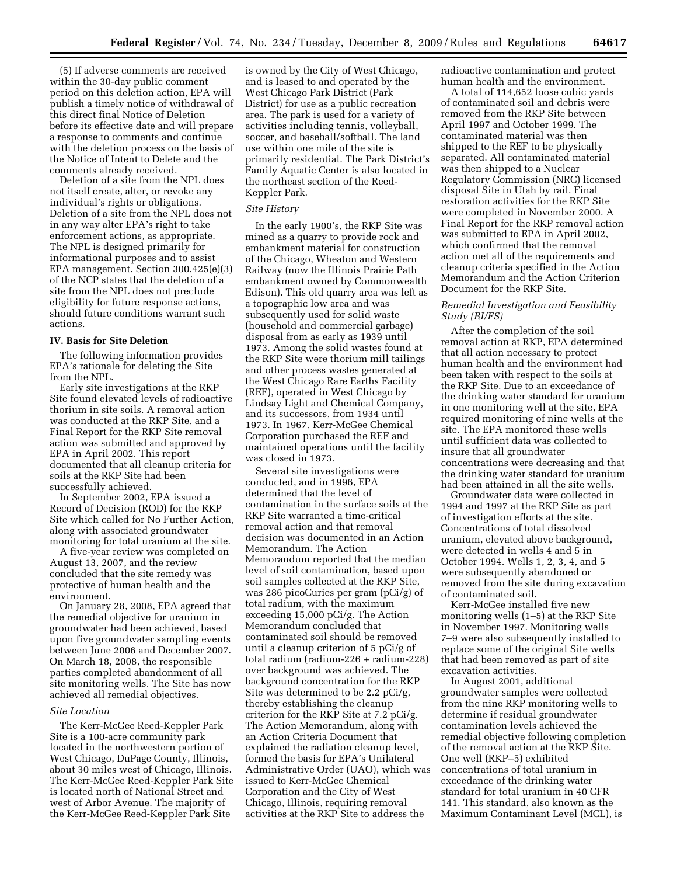(5) If adverse comments are received within the 30-day public comment period on this deletion action, EPA will publish a timely notice of withdrawal of this direct final Notice of Deletion before its effective date and will prepare a response to comments and continue with the deletion process on the basis of the Notice of Intent to Delete and the comments already received.

Deletion of a site from the NPL does not itself create, alter, or revoke any individual's rights or obligations. Deletion of a site from the NPL does not in any way alter EPA's right to take enforcement actions, as appropriate. The NPL is designed primarily for informational purposes and to assist EPA management. Section 300.425(e)(3) of the NCP states that the deletion of a site from the NPL does not preclude eligibility for future response actions, should future conditions warrant such actions.

### **IV. Basis for Site Deletion**

The following information provides EPA's rationale for deleting the Site from the NPL.

Early site investigations at the RKP Site found elevated levels of radioactive thorium in site soils. A removal action was conducted at the RKP Site, and a Final Report for the RKP Site removal action was submitted and approved by EPA in April 2002. This report documented that all cleanup criteria for soils at the RKP Site had been successfully achieved.

In September 2002, EPA issued a Record of Decision (ROD) for the RKP Site which called for No Further Action, along with associated groundwater monitoring for total uranium at the site.

A five-year review was completed on August 13, 2007, and the review concluded that the site remedy was protective of human health and the environment.

On January 28, 2008, EPA agreed that the remedial objective for uranium in groundwater had been achieved, based upon five groundwater sampling events between June 2006 and December 2007. On March 18, 2008, the responsible parties completed abandonment of all site monitoring wells. The Site has now achieved all remedial objectives.

#### *Site Location*

The Kerr-McGee Reed-Keppler Park Site is a 100-acre community park located in the northwestern portion of West Chicago, DuPage County, Illinois, about 30 miles west of Chicago, Illinois. The Kerr-McGee Reed-Keppler Park Site is located north of National Street and west of Arbor Avenue. The majority of the Kerr-McGee Reed-Keppler Park Site

is owned by the City of West Chicago, and is leased to and operated by the West Chicago Park District (Park District) for use as a public recreation area. The park is used for a variety of activities including tennis, volleyball, soccer, and baseball/softball. The land use within one mile of the site is primarily residential. The Park District's Family Aquatic Center is also located in the northeast section of the Reed-Keppler Park.

#### *Site History*

In the early 1900's, the RKP Site was mined as a quarry to provide rock and embankment material for construction of the Chicago, Wheaton and Western Railway (now the Illinois Prairie Path embankment owned by Commonwealth Edison). This old quarry area was left as a topographic low area and was subsequently used for solid waste (household and commercial garbage) disposal from as early as 1939 until 1973. Among the solid wastes found at the RKP Site were thorium mill tailings and other process wastes generated at the West Chicago Rare Earths Facility (REF), operated in West Chicago by Lindsay Light and Chemical Company, and its successors, from 1934 until 1973. In 1967, Kerr-McGee Chemical Corporation purchased the REF and maintained operations until the facility was closed in 1973.

Several site investigations were conducted, and in 1996, EPA determined that the level of contamination in the surface soils at the RKP Site warranted a time-critical removal action and that removal decision was documented in an Action Memorandum. The Action Memorandum reported that the median level of soil contamination, based upon soil samples collected at the RKP Site, was 286 picoCuries per gram (pCi/g) of total radium, with the maximum exceeding 15,000 pCi/g. The Action Memorandum concluded that contaminated soil should be removed until a cleanup criterion of 5 pCi/g of total radium (radium-226 + radium-228) over background was achieved. The background concentration for the RKP Site was determined to be 2.2 pCi/g, thereby establishing the cleanup criterion for the RKP Site at 7.2 pCi/g. The Action Memorandum, along with an Action Criteria Document that explained the radiation cleanup level, formed the basis for EPA's Unilateral Administrative Order (UAO), which was issued to Kerr-McGee Chemical Corporation and the City of West Chicago, Illinois, requiring removal activities at the RKP Site to address the

radioactive contamination and protect human health and the environment.

A total of 114,652 loose cubic yards of contaminated soil and debris were removed from the RKP Site between April 1997 and October 1999. The contaminated material was then shipped to the REF to be physically separated. All contaminated material was then shipped to a Nuclear Regulatory Commission (NRC) licensed disposal Site in Utah by rail. Final restoration activities for the RKP Site were completed in November 2000. A Final Report for the RKP removal action was submitted to EPA in April 2002, which confirmed that the removal action met all of the requirements and cleanup criteria specified in the Action Memorandum and the Action Criterion Document for the RKP Site.

### *Remedial Investigation and Feasibility Study (RI/FS)*

After the completion of the soil removal action at RKP, EPA determined that all action necessary to protect human health and the environment had been taken with respect to the soils at the RKP Site. Due to an exceedance of the drinking water standard for uranium in one monitoring well at the site, EPA required monitoring of nine wells at the site. The EPA monitored these wells until sufficient data was collected to insure that all groundwater concentrations were decreasing and that the drinking water standard for uranium had been attained in all the site wells.

Groundwater data were collected in 1994 and 1997 at the RKP Site as part of investigation efforts at the site. Concentrations of total dissolved uranium, elevated above background, were detected in wells 4 and 5 in October 1994. Wells 1, 2, 3, 4, and 5 were subsequently abandoned or removed from the site during excavation of contaminated soil.

Kerr-McGee installed five new monitoring wells (1–5) at the RKP Site in November 1997. Monitoring wells 7–9 were also subsequently installed to replace some of the original Site wells that had been removed as part of site excavation activities.

In August 2001, additional groundwater samples were collected from the nine RKP monitoring wells to determine if residual groundwater contamination levels achieved the remedial objective following completion of the removal action at the RKP Site. One well (RKP–5) exhibited concentrations of total uranium in exceedance of the drinking water standard for total uranium in 40 CFR 141. This standard, also known as the Maximum Contaminant Level (MCL), is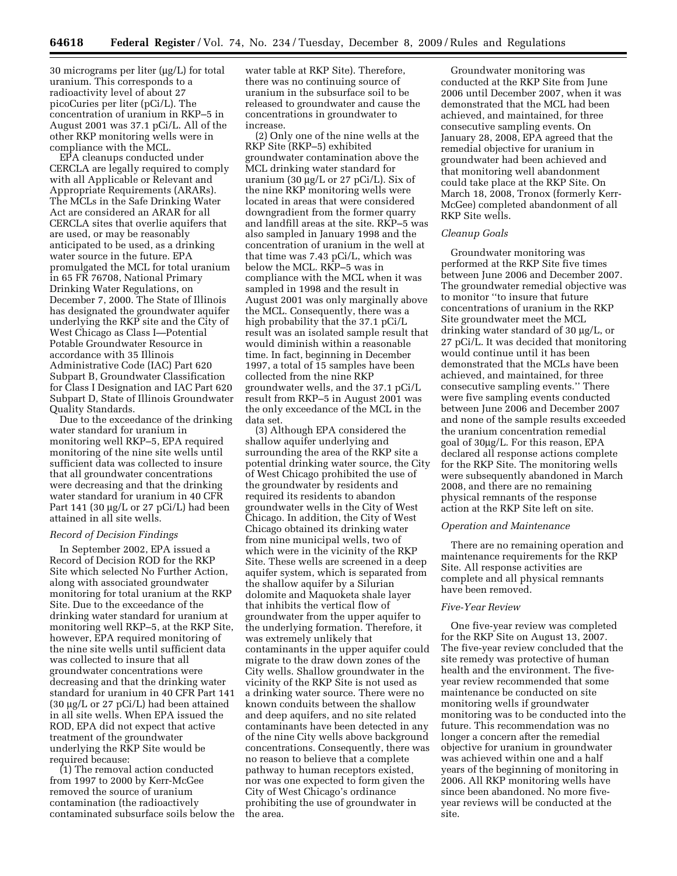30 micrograms per liter (μg/L) for total uranium. This corresponds to a radioactivity level of about 27 picoCuries per liter (pCi/L). The concentration of uranium in RKP–5 in August 2001 was 37.1 pCi/L. All of the other RKP monitoring wells were in compliance with the MCL.

EPA cleanups conducted under CERCLA are legally required to comply with all Applicable or Relevant and Appropriate Requirements (ARARs). The MCLs in the Safe Drinking Water Act are considered an ARAR for all CERCLA sites that overlie aquifers that are used, or may be reasonably anticipated to be used, as a drinking water source in the future. EPA promulgated the MCL for total uranium in 65 FR 76708, National Primary Drinking Water Regulations, on December 7, 2000. The State of Illinois has designated the groundwater aquifer underlying the RKP site and the City of West Chicago as Class I—Potential Potable Groundwater Resource in accordance with 35 Illinois Administrative Code (IAC) Part 620 Subpart B, Groundwater Classification for Class I Designation and IAC Part 620 Subpart D, State of Illinois Groundwater Quality Standards.

Due to the exceedance of the drinking water standard for uranium in monitoring well RKP–5, EPA required monitoring of the nine site wells until sufficient data was collected to insure that all groundwater concentrations were decreasing and that the drinking water standard for uranium in 40 CFR Part 141 (30 μg/L or 27 pCi/L) had been attained in all site wells.

## *Record of Decision Findings*

In September 2002, EPA issued a Record of Decision ROD for the RKP Site which selected No Further Action, along with associated groundwater monitoring for total uranium at the RKP Site. Due to the exceedance of the drinking water standard for uranium at monitoring well RKP–5, at the RKP Site, however, EPA required monitoring of the nine site wells until sufficient data was collected to insure that all groundwater concentrations were decreasing and that the drinking water standard for uranium in 40 CFR Part 141 (30 μg/L or 27 pCi/L) had been attained in all site wells. When EPA issued the ROD, EPA did not expect that active treatment of the groundwater underlying the RKP Site would be required because:

(1) The removal action conducted from 1997 to 2000 by Kerr-McGee removed the source of uranium contamination (the radioactively contaminated subsurface soils below the

water table at RKP Site). Therefore, there was no continuing source of uranium in the subsurface soil to be released to groundwater and cause the concentrations in groundwater to increase.

(2) Only one of the nine wells at the RKP Site (RKP–5) exhibited groundwater contamination above the MCL drinking water standard for uranium (30 μg/L or 27 pCi/L). Six of the nine RKP monitoring wells were located in areas that were considered downgradient from the former quarry and landfill areas at the site. RKP–5 was also sampled in January 1998 and the concentration of uranium in the well at that time was 7.43 pCi/L, which was below the MCL. RKP-5 was in compliance with the MCL when it was sampled in 1998 and the result in August 2001 was only marginally above the MCL. Consequently, there was a high probability that the 37.1 pCi/L result was an isolated sample result that would diminish within a reasonable time. In fact, beginning in December 1997, a total of 15 samples have been collected from the nine RKP groundwater wells, and the 37.1 pCi/L result from RKP–5 in August 2001 was the only exceedance of the MCL in the data set.

(3) Although EPA considered the shallow aquifer underlying and surrounding the area of the RKP site a potential drinking water source, the City of West Chicago prohibited the use of the groundwater by residents and required its residents to abandon groundwater wells in the City of West Chicago. In addition, the City of West Chicago obtained its drinking water from nine municipal wells, two of which were in the vicinity of the RKP Site. These wells are screened in a deep aquifer system, which is separated from the shallow aquifer by a Silurian dolomite and Maquoketa shale layer that inhibits the vertical flow of groundwater from the upper aquifer to the underlying formation. Therefore, it was extremely unlikely that contaminants in the upper aquifer could migrate to the draw down zones of the City wells. Shallow groundwater in the vicinity of the RKP Site is not used as a drinking water source. There were no known conduits between the shallow and deep aquifers, and no site related contaminants have been detected in any of the nine City wells above background concentrations. Consequently, there was no reason to believe that a complete pathway to human receptors existed, nor was one expected to form given the City of West Chicago's ordinance prohibiting the use of groundwater in the area.

Groundwater monitoring was conducted at the RKP Site from June 2006 until December 2007, when it was demonstrated that the MCL had been achieved, and maintained, for three consecutive sampling events. On January 28, 2008, EPA agreed that the remedial objective for uranium in groundwater had been achieved and that monitoring well abandonment could take place at the RKP Site. On March 18, 2008, Tronox (formerly Kerr-McGee) completed abandonment of all RKP Site wells.

### *Cleanup Goals*

Groundwater monitoring was performed at the RKP Site five times between June 2006 and December 2007. The groundwater remedial objective was to monitor ''to insure that future concentrations of uranium in the RKP Site groundwater meet the MCL drinking water standard of 30 μg/L, or 27 pCi/L. It was decided that monitoring would continue until it has been demonstrated that the MCLs have been achieved, and maintained, for three consecutive sampling events.'' There were five sampling events conducted between June 2006 and December 2007 and none of the sample results exceeded the uranium concentration remedial goal of 30μg/L. For this reason, EPA declared all response actions complete for the RKP Site. The monitoring wells were subsequently abandoned in March 2008, and there are no remaining physical remnants of the response action at the RKP Site left on site.

### *Operation and Maintenance*

There are no remaining operation and maintenance requirements for the RKP Site. All response activities are complete and all physical remnants have been removed.

#### *Five-Year Review*

One five-year review was completed for the RKP Site on August 13, 2007. The five-year review concluded that the site remedy was protective of human health and the environment. The fiveyear review recommended that some maintenance be conducted on site monitoring wells if groundwater monitoring was to be conducted into the future. This recommendation was no longer a concern after the remedial objective for uranium in groundwater was achieved within one and a half years of the beginning of monitoring in 2006. All RKP monitoring wells have since been abandoned. No more fiveyear reviews will be conducted at the site.